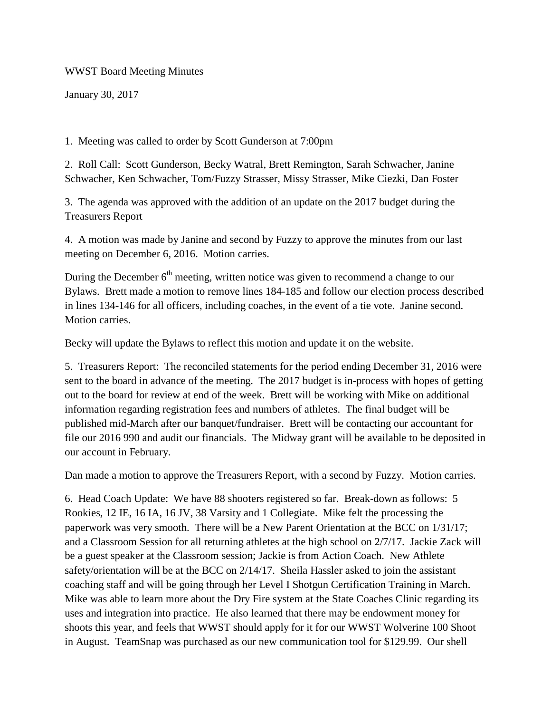WWST Board Meeting Minutes

January 30, 2017

1. Meeting was called to order by Scott Gunderson at 7:00pm

2. Roll Call: Scott Gunderson, Becky Watral, Brett Remington, Sarah Schwacher, Janine Schwacher, Ken Schwacher, Tom/Fuzzy Strasser, Missy Strasser, Mike Ciezki, Dan Foster

3. The agenda was approved with the addition of an update on the 2017 budget during the Treasurers Report

4. A motion was made by Janine and second by Fuzzy to approve the minutes from our last meeting on December 6, 2016. Motion carries.

During the December  $6<sup>th</sup>$  meeting, written notice was given to recommend a change to our Bylaws. Brett made a motion to remove lines 184-185 and follow our election process described in lines 134-146 for all officers, including coaches, in the event of a tie vote. Janine second. Motion carries.

Becky will update the Bylaws to reflect this motion and update it on the website.

5. Treasurers Report: The reconciled statements for the period ending December 31, 2016 were sent to the board in advance of the meeting. The 2017 budget is in-process with hopes of getting out to the board for review at end of the week. Brett will be working with Mike on additional information regarding registration fees and numbers of athletes. The final budget will be published mid-March after our banquet/fundraiser. Brett will be contacting our accountant for file our 2016 990 and audit our financials. The Midway grant will be available to be deposited in our account in February.

Dan made a motion to approve the Treasurers Report, with a second by Fuzzy. Motion carries.

6. Head Coach Update: We have 88 shooters registered so far. Break-down as follows: 5 Rookies, 12 IE, 16 IA, 16 JV, 38 Varsity and 1 Collegiate. Mike felt the processing the paperwork was very smooth. There will be a New Parent Orientation at the BCC on 1/31/17; and a Classroom Session for all returning athletes at the high school on 2/7/17. Jackie Zack will be a guest speaker at the Classroom session; Jackie is from Action Coach. New Athlete safety/orientation will be at the BCC on 2/14/17. Sheila Hassler asked to join the assistant coaching staff and will be going through her Level I Shotgun Certification Training in March. Mike was able to learn more about the Dry Fire system at the State Coaches Clinic regarding its uses and integration into practice. He also learned that there may be endowment money for shoots this year, and feels that WWST should apply for it for our WWST Wolverine 100 Shoot in August. TeamSnap was purchased as our new communication tool for \$129.99. Our shell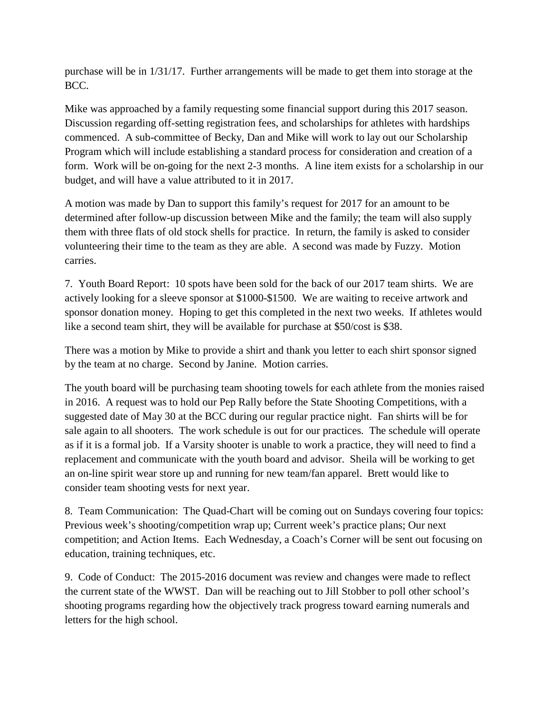purchase will be in 1/31/17. Further arrangements will be made to get them into storage at the BCC.

Mike was approached by a family requesting some financial support during this 2017 season. Discussion regarding off-setting registration fees, and scholarships for athletes with hardships commenced. A sub-committee of Becky, Dan and Mike will work to lay out our Scholarship Program which will include establishing a standard process for consideration and creation of a form. Work will be on-going for the next 2-3 months. A line item exists for a scholarship in our budget, and will have a value attributed to it in 2017.

A motion was made by Dan to support this family's request for 2017 for an amount to be determined after follow-up discussion between Mike and the family; the team will also supply them with three flats of old stock shells for practice. In return, the family is asked to consider volunteering their time to the team as they are able. A second was made by Fuzzy. Motion carries.

7. Youth Board Report: 10 spots have been sold for the back of our 2017 team shirts. We are actively looking for a sleeve sponsor at \$1000-\$1500. We are waiting to receive artwork and sponsor donation money. Hoping to get this completed in the next two weeks. If athletes would like a second team shirt, they will be available for purchase at \$50/cost is \$38.

There was a motion by Mike to provide a shirt and thank you letter to each shirt sponsor signed by the team at no charge. Second by Janine. Motion carries.

The youth board will be purchasing team shooting towels for each athlete from the monies raised in 2016. A request was to hold our Pep Rally before the State Shooting Competitions, with a suggested date of May 30 at the BCC during our regular practice night. Fan shirts will be for sale again to all shooters. The work schedule is out for our practices. The schedule will operate as if it is a formal job. If a Varsity shooter is unable to work a practice, they will need to find a replacement and communicate with the youth board and advisor. Sheila will be working to get an on-line spirit wear store up and running for new team/fan apparel. Brett would like to consider team shooting vests for next year.

8. Team Communication: The Quad-Chart will be coming out on Sundays covering four topics: Previous week's shooting/competition wrap up; Current week's practice plans; Our next competition; and Action Items. Each Wednesday, a Coach's Corner will be sent out focusing on education, training techniques, etc.

9. Code of Conduct: The 2015-2016 document was review and changes were made to reflect the current state of the WWST. Dan will be reaching out to Jill Stobber to poll other school's shooting programs regarding how the objectively track progress toward earning numerals and letters for the high school.